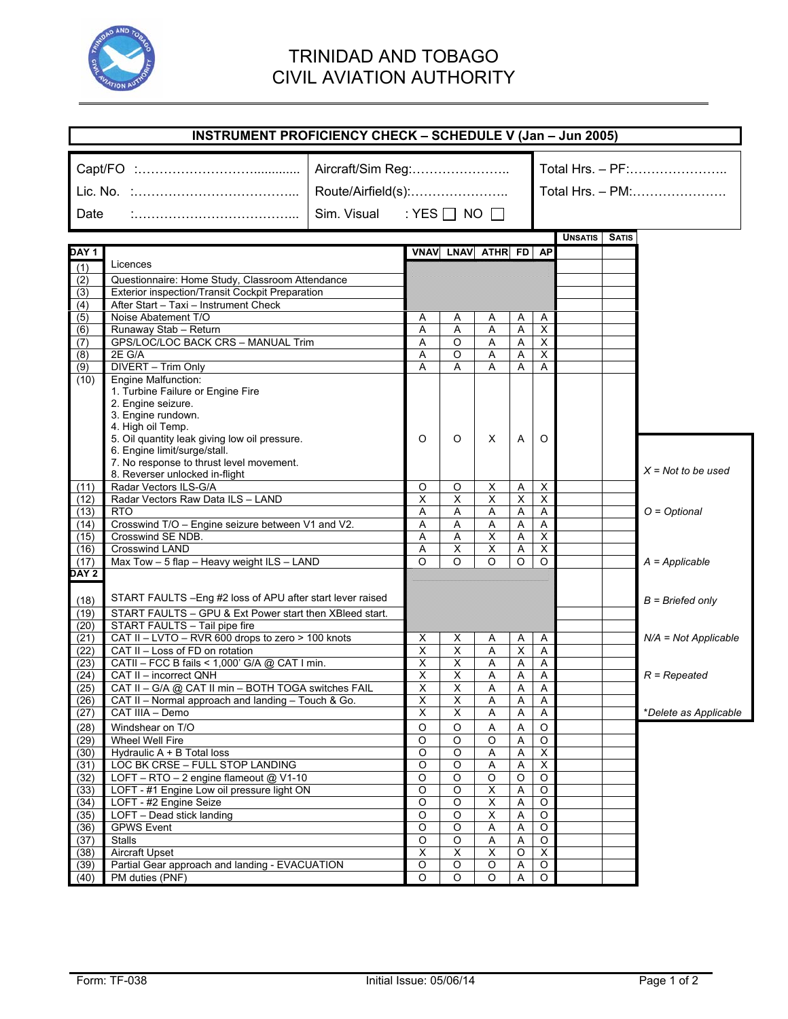

## TRINIDAD AND TOBAGO CIVIL AVIATION AUTHORITY

|                               | <b>INSTRUMENT PROFICIENCY CHECK - SCHEDULE V (Jan - Jun 2005)</b>                                                                                                                 |                                                                               |                         |                                  |                                                    |                |                                      |         |              |                        |
|-------------------------------|-----------------------------------------------------------------------------------------------------------------------------------------------------------------------------------|-------------------------------------------------------------------------------|-------------------------|----------------------------------|----------------------------------------------------|----------------|--------------------------------------|---------|--------------|------------------------|
| Date                          |                                                                                                                                                                                   | Aircraft/Sim Reg:<br>Route/Airfield(s):<br>Sim. Visual : YES $\Box$ NO $\Box$ |                         |                                  |                                                    |                | Total Hrs. - PF:<br>Total Hrs. - PM: |         |              |                        |
|                               |                                                                                                                                                                                   |                                                                               |                         |                                  |                                                    |                |                                      | UNSATIS | <b>SATIS</b> |                        |
| DAY 1                         |                                                                                                                                                                                   |                                                                               |                         | VNAV LNAV ATHR FD AP             |                                                    |                |                                      |         |              |                        |
| (1)                           | Licences                                                                                                                                                                          |                                                                               |                         |                                  |                                                    |                |                                      |         |              |                        |
| (2)                           | Questionnaire: Home Study, Classroom Attendance                                                                                                                                   |                                                                               |                         |                                  |                                                    |                |                                      |         |              |                        |
| (3)                           | Exterior inspection/Transit Cockpit Preparation                                                                                                                                   |                                                                               |                         |                                  |                                                    |                |                                      |         |              |                        |
| (4)                           | After Start - Taxi - Instrument Check                                                                                                                                             |                                                                               |                         |                                  |                                                    |                |                                      |         |              |                        |
| $\overline{(5)}$              | Noise Abatement T/O                                                                                                                                                               |                                                                               | Α                       | Α                                | Α                                                  | Α              | Α                                    |         |              |                        |
| (6)                           | Runaway Stab - Return                                                                                                                                                             |                                                                               | A                       | Α                                | Α                                                  | A              | $\overline{\mathsf{x}}$              |         |              |                        |
| (7)                           | GPS/LOC/LOC BACK CRS - MANUAL Trim                                                                                                                                                |                                                                               | Α                       | O                                | Α                                                  | Α              | X                                    |         |              |                        |
| (8)                           | 2E G/A                                                                                                                                                                            |                                                                               | Α                       | O                                | Α                                                  | Α              | X                                    |         |              |                        |
| (9)                           | DIVERT - Trim Only                                                                                                                                                                |                                                                               | A                       | Α                                | Α                                                  | Α              | Α                                    |         |              |                        |
| (10)                          | <b>Engine Malfunction:</b><br>1. Turbine Failure or Engine Fire<br>2. Engine seizure.<br>3. Engine rundown.<br>4. High oil Temp.<br>5. Oil quantity leak giving low oil pressure. |                                                                               | O                       | O                                | X                                                  | Α              | O                                    |         |              |                        |
|                               | 6. Engine limit/surge/stall.<br>7. No response to thrust level movement.<br>8. Reverser unlocked in-flight                                                                        |                                                                               |                         |                                  |                                                    |                |                                      |         |              | $X = Not to be used$   |
| (11)                          | Radar Vectors ILS-G/A                                                                                                                                                             |                                                                               | O                       | O                                | X                                                  | Α              | X                                    |         |              |                        |
| (12)                          | Radar Vectors Raw Data ILS - LAND                                                                                                                                                 |                                                                               | X                       | $\overline{\mathsf{x}}$          | $\overline{\mathsf{x}}$                            | X              | X                                    |         |              |                        |
| (13)                          | <b>RTO</b>                                                                                                                                                                        |                                                                               | Α                       | Α                                | Α                                                  | A              | A                                    |         |              | $O = Optional$         |
| (14)                          | Crosswind T/O - Engine seizure between V1 and V2.                                                                                                                                 |                                                                               | A                       | Α                                | A                                                  | A              | A                                    |         |              |                        |
| (15)                          | Crosswind SE NDB.                                                                                                                                                                 |                                                                               | Α                       | Α                                | $\overline{\mathsf{x}}$                            | A              | X                                    |         |              |                        |
| (16)                          | <b>Crosswind LAND</b>                                                                                                                                                             |                                                                               | Α                       | X                                | X                                                  | Α              | X                                    |         |              |                        |
| (17)                          | Max Tow - 5 flap - Heavy weight ILS - LAND                                                                                                                                        |                                                                               | $\Omega$                | $\Omega$                         | $\Omega$                                           | O              | O                                    |         |              | $A = Applicable$       |
| DAY 2<br>(18)<br>(19)<br>(20) | START FAULTS - Eng #2 loss of APU after start lever raised<br>START FAULTS - GPU & Ext Power start then XBleed start.<br>START FAULTS - Tail pipe fire                            |                                                                               |                         |                                  |                                                    |                |                                      |         |              | $B = Briefed only$     |
| (21)                          | CAT II - LVTO - RVR 600 drops to zero > 100 knots                                                                                                                                 |                                                                               | Х                       | х                                | A                                                  | A              | A                                    |         |              | $N/A = Not Applicable$ |
| (22)                          | CAT II - Loss of FD on rotation                                                                                                                                                   |                                                                               | X                       | Χ                                | Α                                                  | X              | A                                    |         |              |                        |
| (23)                          | CATII - FCC B fails < 1,000' G/A @ CAT I min.                                                                                                                                     |                                                                               | $\overline{\mathsf{x}}$ | $\overline{\mathsf{x}}$          | Α                                                  | Α              | Α                                    |         |              |                        |
| (24)                          | CAT II - incorrect QNH                                                                                                                                                            |                                                                               | X                       | $\overline{\mathsf{x}}$          | A                                                  | A              | Α                                    |         |              | $R = Repeated$         |
| (25)                          | CAT II - G/A @ CAT II min - BOTH TOGA switches FAIL                                                                                                                               |                                                                               | X                       | X                                | A                                                  | A              | Α                                    |         |              |                        |
| (26)                          | CAT II - Normal approach and landing - Touch & Go.                                                                                                                                |                                                                               | $\overline{\mathsf{X}}$ | $\overline{\mathsf{x}}$          | $\overline{A}$                                     | $\overline{A}$ | $\overline{A}$                       |         |              |                        |
| (27)                          | CAT IIIA - Demo                                                                                                                                                                   |                                                                               | Χ                       | X                                | Α                                                  | Α              | A                                    |         |              | *Delete as Applicable  |
| (28)                          | Windshear on T/O                                                                                                                                                                  |                                                                               | $\circ$                 | O                                | Α                                                  | Α              | O                                    |         |              |                        |
| (29)                          | Wheel Well Fire                                                                                                                                                                   |                                                                               | O                       | $\overline{O}$                   | O                                                  | Α              | O                                    |         |              |                        |
| (30)                          | Hydraulic A + B Total loss                                                                                                                                                        |                                                                               | O                       | O                                | A                                                  | Α              | X                                    |         |              |                        |
| (31)                          | LOC BK CRSE - FULL STOP LANDING                                                                                                                                                   |                                                                               | $\circ$                 | $\circ$                          | Α                                                  | Α              | X                                    |         |              |                        |
| (32)                          | LOFT - RTO - 2 engine flameout @ V1-10                                                                                                                                            |                                                                               | $\circ$                 | $\circ$                          | $\circ$                                            | $\circ$        | $\circ$                              |         |              |                        |
| (33)                          | LOFT - #1 Engine Low oil pressure light ON                                                                                                                                        |                                                                               | $\circ$                 | O                                | X                                                  | Α              | O                                    |         |              |                        |
| (34)<br>(35)                  | LOFT - #2 Engine Seize<br>LOFT - Dead stick landing                                                                                                                               |                                                                               | O<br>$\overline{O}$     | $\overline{O}$<br>$\overline{O}$ | $\overline{\mathsf{x}}$<br>$\overline{\mathsf{x}}$ | Α<br>A         | $\circ$<br>$\overline{O}$            |         |              |                        |
| (36)                          | <b>GPWS Event</b>                                                                                                                                                                 |                                                                               | $\circ$                 | O                                | Α                                                  | Α              | $\circ$                              |         |              |                        |
| (37)                          | <b>Stalls</b>                                                                                                                                                                     |                                                                               | O                       | O                                | Α                                                  | Α              | $\circ$                              |         |              |                        |
| (38)                          | <b>Aircraft Upset</b>                                                                                                                                                             |                                                                               | X                       | Χ                                | X                                                  | O              | X                                    |         |              |                        |
| (39)                          | Partial Gear approach and landing - EVACUATION                                                                                                                                    |                                                                               | O                       | O                                | O                                                  | Α              | $\circ$                              |         |              |                        |
| (40)                          | PM duties (PNF)                                                                                                                                                                   |                                                                               | $\overline{O}$          | O                                | O                                                  | Α              | O                                    |         |              |                        |